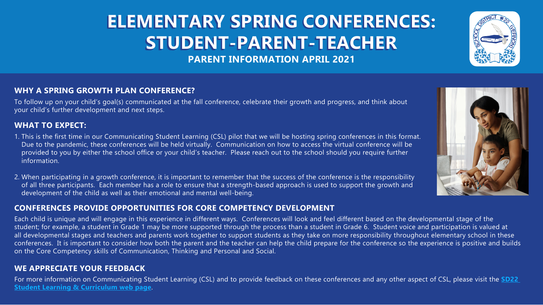# **ELEMENTARY SPRING CONFERENCES: STUDENT-PARENT-TEACHER PARENT INFORMATION APRIL 2021**

## **WHY A SPRING GROWTH PLAN CONFERENCE?**

To follow up on your child's goal(s) communicated at the fall conference, celebrate their growth and progress, and think about your child's further development and next steps.

## **WHAT TO EXPECT:**

- 1. This is the first time in our Communicating Student Learning (CSL) pilot that we will be hosting spring conferences in this format. Due to the pandemic, these conferences will be held virtually. Communication on how to access the virtual conference will be provided to you by either the school office or your child's teacher. Please reach out to the school should you require further information.
- 2. When participating in a growth conference, it is important to remember that the success of the conference is the responsibility of all three participants. Each member has a role to ensure that a strength-based approach is used to support the growth and development of the child as well as their emotional and mental well-being.

#### **CONFERENCES PROVIDE OPPORTUNITIES FOR CORE COMPETENCY DEVELOPMENT**

Each child is unique and will engage in this experience in different ways. Conferences will look and feel different based on the developmental stage of the student; for example, a student in Grade 1 may be more supported through the process than a student in Grade 6. Student voice and participation is valued at all developmental stages and teachers and parents work together to support students as they take on more responsibility throughout elementary school in these conferences. It is important to consider how both the parent and the teacher can help the child prepare for the conference so the experience is positive and builds on the Core Competency skills of Communication, Thinking and Personal and Social.

#### **WE APPRECIATE YOUR FEEDBACK**

For more information on Communicating Student Learning (CSL) and to provide feedback on these conferences and any other aspect of CSL, please visit the **[SD22](https://sd22.bc.ca/programs-services/student-learning-curriculum-1/ )  [Student Learning & Curriculum web page](https://sd22.bc.ca/programs-services/student-learning-curriculum-1/ )**.